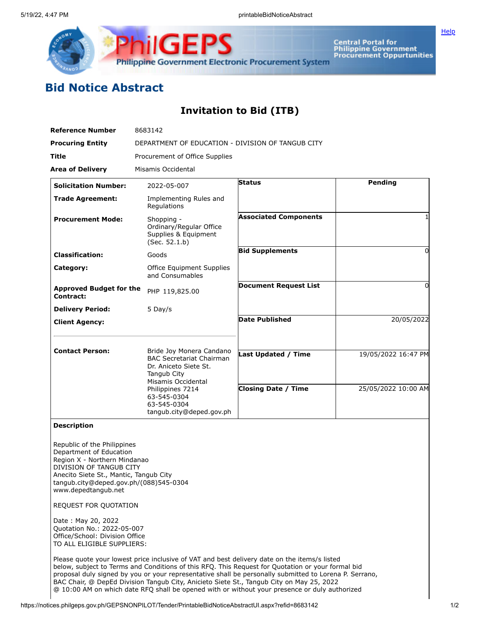

Central Portal for<br>Philippine Government<br>Procurement Oppurtunities

**[Help](javascript:void(window.open()** 

## **Bid Notice Abstract**

## **Invitation to Bid (ITB)**

| <b>Reference Number</b>                     | 8683142                                                                                                                   |                              |                     |  |  |
|---------------------------------------------|---------------------------------------------------------------------------------------------------------------------------|------------------------------|---------------------|--|--|
| <b>Procuring Entity</b>                     | DEPARTMENT OF EDUCATION - DIVISION OF TANGUB CITY                                                                         |                              |                     |  |  |
| <b>Title</b>                                | Procurement of Office Supplies                                                                                            |                              |                     |  |  |
| <b>Area of Delivery</b>                     | Misamis Occidental                                                                                                        |                              |                     |  |  |
| <b>Solicitation Number:</b>                 | 2022-05-007                                                                                                               | <b>Status</b>                | Pending             |  |  |
| <b>Trade Agreement:</b>                     | Implementing Rules and<br>Regulations                                                                                     |                              |                     |  |  |
| <b>Procurement Mode:</b>                    | Shopping -<br>Ordinary/Regular Office<br>Supplies & Equipment<br>(Sec. 52.1.b)                                            | <b>Associated Components</b> |                     |  |  |
| <b>Classification:</b>                      | Goods                                                                                                                     | <b>Bid Supplements</b>       | 0                   |  |  |
| Category:                                   | Office Equipment Supplies<br>and Consumables                                                                              |                              |                     |  |  |
| <b>Approved Budget for the</b><br>Contract: | PHP 119,825.00                                                                                                            | <b>Document Request List</b> | 0                   |  |  |
| <b>Delivery Period:</b>                     | 5 Day/s                                                                                                                   |                              |                     |  |  |
| <b>Client Agency:</b>                       |                                                                                                                           | <b>Date Published</b>        | 20/05/2022          |  |  |
| <b>Contact Person:</b>                      | Bride Joy Monera Candano<br><b>BAC Secretariat Chairman</b><br>Dr. Aniceto Siete St.<br>Tangub City<br>Misamis Occidental | <b>Last Updated / Time</b>   | 19/05/2022 16:47 PM |  |  |
|                                             | Philippines 7214<br>63-545-0304<br>63-545-0304<br>tangub.city@deped.gov.ph                                                | <b>Closing Date / Time</b>   | 25/05/2022 10:00 AM |  |  |

## **Description**

Republic of the Philippines Department of Education Region X - Northern Mindanao DIVISION OF TANGUB CITY Anecito Siete St., Mantic, Tangub City tangub.city@deped.gov.ph/(088)545-0304 www.depedtangub.net

REQUEST FOR QUOTATION

Date : May 20, 2022 Quotation No.: 2022-05-007 Office/School: Division Office TO ALL ELIGIBLE SUPPLIERS:

Please quote your lowest price inclusive of VAT and best delivery date on the items/s listed below, subject to Terms and Conditions of this RFQ. This Request for Quotation or your formal bid proposal duly signed by you or your representative shall be personally submitted to Lorena P. Serrano, BAC Chair, @ DepEd Division Tangub City, Anicieto Siete St., Tangub City on May 25, 2022 @ 10:00 AM on which date RFQ shall be opened with or without your presence or duly authorized